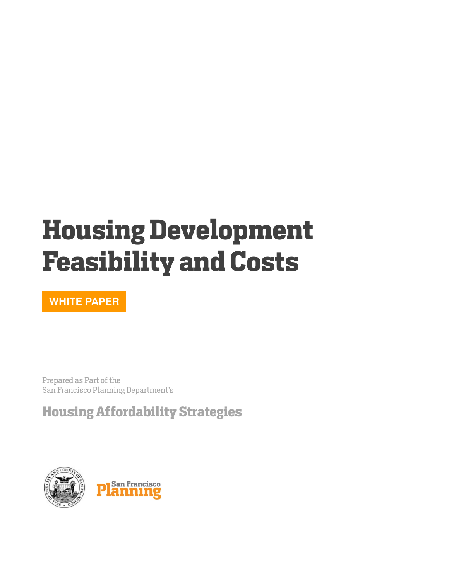# <span id="page-0-0"></span>**Housing Development Feasibility and Costs**

**WHITE PAPER**

Prepared as Part of the San Francisco Planning Department's

<span id="page-0-1"></span>**Housing Affordability Strategies**

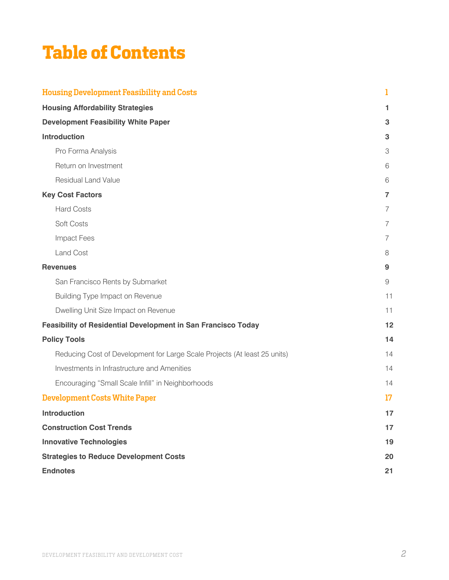# **Table of Contents**

| <b>Housing Development Feasibility and Costs</b>                          | 1              |
|---------------------------------------------------------------------------|----------------|
| <b>Housing Affordability Strategies</b>                                   | 1.             |
| <b>Development Feasibility White Paper</b>                                | 3              |
| <b>Introduction</b>                                                       | 3              |
| Pro Forma Analysis                                                        | 3              |
| Return on Investment                                                      | 6              |
| <b>Residual Land Value</b>                                                | 6              |
| <b>Key Cost Factors</b>                                                   | $\overline{7}$ |
| <b>Hard Costs</b>                                                         | 7              |
| Soft Costs                                                                | $\overline{7}$ |
| <b>Impact Fees</b>                                                        | 7              |
| <b>Land Cost</b>                                                          | 8              |
| <b>Revenues</b>                                                           | 9              |
| San Francisco Rents by Submarket                                          | 9              |
| <b>Building Type Impact on Revenue</b>                                    | 11             |
| Dwelling Unit Size Impact on Revenue                                      | 11             |
| <b>Feasibility of Residential Development in San Francisco Today</b>      | 12             |
| <b>Policy Tools</b>                                                       | 14             |
| Reducing Cost of Development for Large Scale Projects (At least 25 units) | 14             |
| Investments in Infrastructure and Amenities                               | 14             |
| Encouraging "Small Scale Infill" in Neighborhoods                         | 14             |
| <b>Development Costs White Paper</b>                                      | 17             |
| <b>Introduction</b>                                                       | 17             |
| <b>Construction Cost Trends</b>                                           | 17             |
| <b>Innovative Technologies</b>                                            | 19             |
| <b>Strategies to Reduce Development Costs</b>                             | 20             |
| <b>Endnotes</b>                                                           | 21             |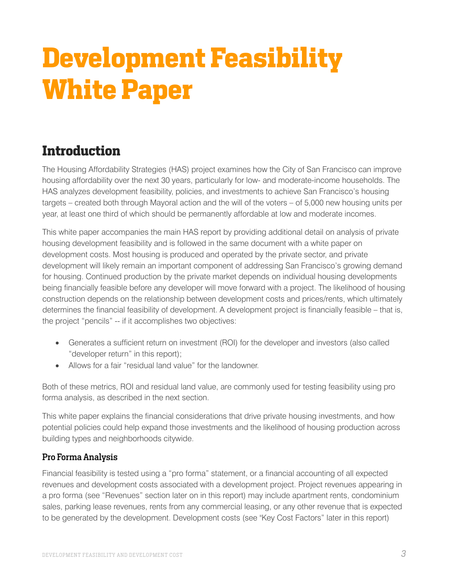# <span id="page-2-0"></span>**Development Feasibility White Paper**

## <span id="page-2-1"></span>**Introduction**

The Housing Affordability Strategies (HAS) project examines how the City of San Francisco can improve housing affordability over the next 30 years, particularly for low- and moderate-income households. The HAS analyzes development feasibility, policies, and investments to achieve San Francisco's housing targets – created both through Mayoral action and the will of the voters – of 5,000 new housing units per year, at least one third of which should be permanently affordable at low and moderate incomes.

This white paper accompanies the main HAS report by providing additional detail on analysis of private housing development feasibility and is followed in the same document with a white paper on development costs. Most housing is produced and operated by the private sector, and private development will likely remain an important component of addressing San Francisco's growing demand for housing. Continued production by the private market depends on individual housing developments being financially feasible before any developer will move forward with a project. The likelihood of housing construction depends on the relationship between development costs and prices/rents, which ultimately determines the financial feasibility of development. A development project is financially feasible – that is, the project "pencils" -- if it accomplishes two objectives:

- Generates a sufficient return on investment (ROI) for the developer and investors (also called "developer return" in this report);
- Allows for a fair "residual land value" for the landowner.

Both of these metrics, ROI and residual land value, are commonly used for testing feasibility using pro forma analysis, as described in the next section.

This white paper explains the financial considerations that drive private housing investments, and how potential policies could help expand those investments and the likelihood of housing production across building types and neighborhoods citywide.

### <span id="page-2-2"></span>Pro Forma Analysis

Financial feasibility is tested using a "pro forma" statement, or a financial accounting of all expected revenues and development costs associated with a development project. Project revenues appearing in a pro forma (see "Revenues" section later on in this report) may include apartment rents, condominium sales, parking lease revenues, rents from any commercial leasing, or any other revenue that is expected to be generated by the development. Development costs (see "Key Cost Factors" later in this report)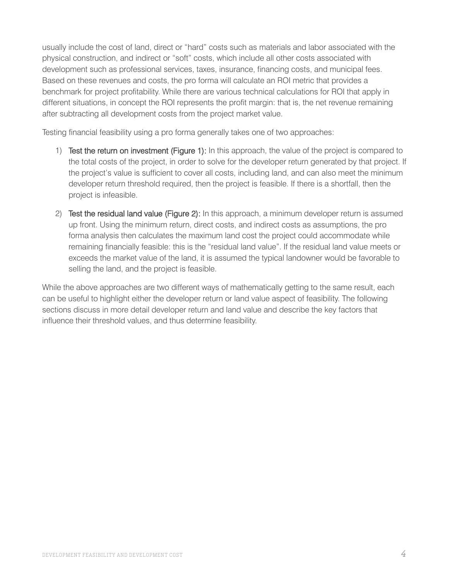usually include the cost of land, direct or "hard" costs such as materials and labor associated with the physical construction, and indirect or "soft" costs, which include all other costs associated with development such as professional services, taxes, insurance, financing costs, and municipal fees. Based on these revenues and costs, the pro forma will calculate an ROI metric that provides a benchmark for project profitability. While there are various technical calculations for ROI that apply in different situations, in concept the ROI represents the profit margin: that is, the net revenue remaining after subtracting all development costs from the project market value.

Testing financial feasibility using a pro forma generally takes one of two approaches:

- 1) Test the return on investment (Figure 1): In this approach, the value of the project is compared to the total costs of the project, in order to solve for the developer return generated by that project. If the project's value is sufficient to cover all costs, including land, and can also meet the minimum developer return threshold required, then the project is feasible. If there is a shortfall, then the project is infeasible.
- 2) Test the residual land value (Figure 2): In this approach, a minimum developer return is assumed up front. Using the minimum return, direct costs, and indirect costs as assumptions, the pro forma analysis then calculates the maximum land cost the project could accommodate while remaining financially feasible: this is the "residual land value". If the residual land value meets or exceeds the market value of the land, it is assumed the typical landowner would be favorable to selling the land, and the project is feasible.

While the above approaches are two different ways of mathematically getting to the same result, each can be useful to highlight either the developer return or land value aspect of feasibility. The following sections discuss in more detail developer return and land value and describe the key factors that influence their threshold values, and thus determine feasibility.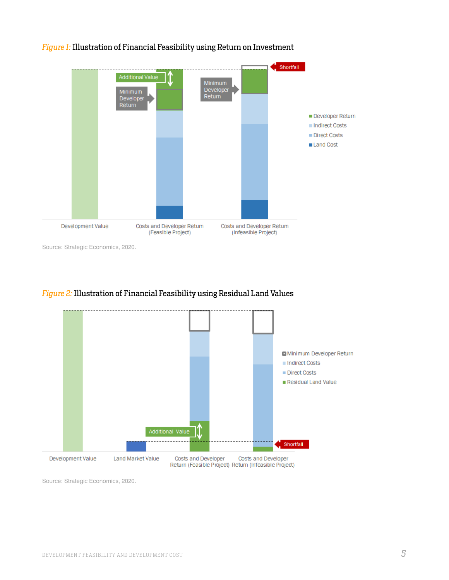

#### *Figure 1:* Illustration of Financial Feasibility using Return on Investment

Source: Strategic Economics, 2020.

#### *Figure 2:* Illustration of Financial Feasibility using Residual Land Values



Source: Strategic Economics, 2020.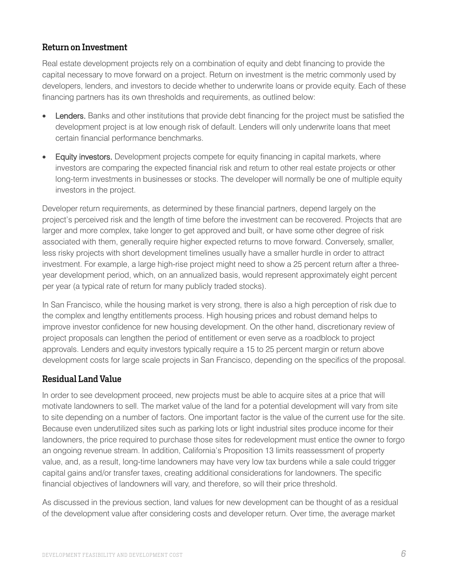### <span id="page-5-0"></span>Return on Investment

Real estate development projects rely on a combination of equity and debt financing to provide the capital necessary to move forward on a project. Return on investment is the metric commonly used by developers, lenders, and investors to decide whether to underwrite loans or provide equity. Each of these financing partners has its own thresholds and requirements, as outlined below:

- **Lenders.** Banks and other institutions that provide debt financing for the project must be satisfied the development project is at low enough risk of default. Lenders will only underwrite loans that meet certain financial performance benchmarks.
- **Equity investors.** Development projects compete for equity financing in capital markets, where investors are comparing the expected financial risk and return to other real estate projects or other long-term investments in businesses or stocks. The developer will normally be one of multiple equity investors in the project.

Developer return requirements, as determined by these financial partners, depend largely on the project's perceived risk and the length of time before the investment can be recovered. Projects that are larger and more complex, take longer to get approved and built, or have some other degree of risk associated with them, generally require higher expected returns to move forward. Conversely, smaller, less risky projects with short development timelines usually have a smaller hurdle in order to attract investment. For example, a large high-rise project might need to show a 25 percent return after a threeyear development period, which, on an annualized basis, would represent approximately eight percent per year (a typical rate of return for many publicly traded stocks).

In San Francisco, while the housing market is very strong, there is also a high perception of risk due to the complex and lengthy entitlements process. High housing prices and robust demand helps to improve investor confidence for new housing development. On the other hand, discretionary review of project proposals can lengthen the period of entitlement or even serve as a roadblock to project approvals. Lenders and equity investors typically require a 15 to 25 percent margin or return above development costs for large scale projects in San Francisco, depending on the specifics of the proposal.

### <span id="page-5-1"></span>Residual Land Value

In order to see development proceed, new projects must be able to acquire sites at a price that will motivate landowners to sell. The market value of the land for a potential development will vary from site to site depending on a number of factors. One important factor is the value of the current use for the site. Because even underutilized sites such as parking lots or light industrial sites produce income for their landowners, the price required to purchase those sites for redevelopment must entice the owner to forgo an ongoing revenue stream. In addition, California's Proposition 13 limits reassessment of property value, and, as a result, long-time landowners may have very low tax burdens while a sale could trigger capital gains and/or transfer taxes, creating additional considerations for landowners. The specific financial objectives of landowners will vary, and therefore, so will their price threshold.

As discussed in the previous section, land values for new development can be thought of as a residual of the development value after considering costs and developer return. Over time, the average market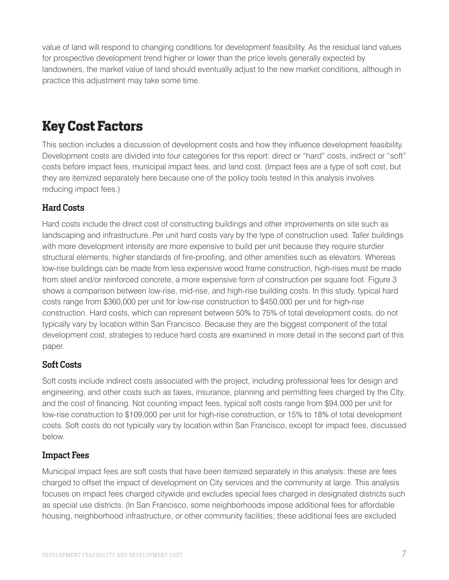value of land will respond to changing conditions for development feasibility. As the residual land values for prospective development trend higher or lower than the price levels generally expected by landowners, the market value of land should eventually adjust to the new market conditions, although in practice this adjustment may take some time.

## <span id="page-6-0"></span>**Key Cost Factors**

This section includes a discussion of development costs and how they influence development feasibility. Development costs are divided into four categories for this report: direct or "hard" costs, indirect or "soft" costs before impact fees, municipal impact fees, and land cost. (Impact fees are a type of soft cost, but they are itemized separately here because one of the policy tools tested in this analysis involves reducing impact fees.)

### <span id="page-6-1"></span>Hard Costs

Hard costs include the direct cost of constructing buildings and other improvements on site such as landscaping and infrastructure. Per unit hard costs vary by the type of construction used. Taller buildings with more development intensity are more expensive to build per unit because they require sturdier structural elements, higher standards of fire-proofing, and other amenities such as elevators. Whereas low-rise buildings can be made from less expensive wood frame construction, high-rises must be made from steel and/or reinforced concrete, a more expensive form of construction per square foot. Figure 3 shows a comparison between low-rise, mid-rise, and high-rise building costs. In this study, typical hard costs range from \$360,000 per unit for low-rise construction to \$450,000 per unit for high-rise construction. Hard costs, which can represent between 50% to 75% of total development costs, do not typically vary by location within San Francisco. Because they are the biggest component of the total development cost, strategies to reduce hard costs are examined in more detail in the second part of this paper.

### <span id="page-6-2"></span>Soft Costs

Soft costs include indirect costs associated with the project, including professional fees for design and engineering, and other costs such as taxes, insurance, planning and permitting fees charged by the City, and the cost of financing. Not counting impact fees, typical soft costs range from \$94,000 per unit for low-rise construction to \$109,000 per unit for high-rise construction, or 15% to 18% of total development costs. Soft costs do not typically vary by location within San Francisco, except for impact fees, discussed below.

### <span id="page-6-3"></span>Impact Fees

Municipal impact fees are soft costs that have been itemized separately in this analysis: these are fees charged to offset the impact of development on City services and the community at large. This analysis focuses on impact fees charged citywide and excludes special fees charged in designated districts such as special use districts. (In San Francisco, some neighborhoods impose additional fees for affordable housing, neighborhood infrastructure, or other community facilities; these additional fees are excluded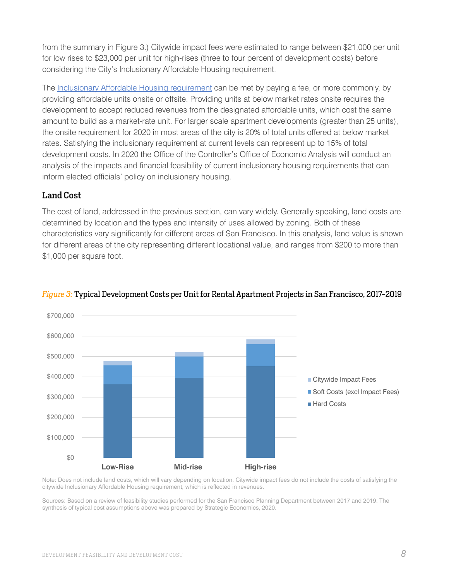from the summary in Figure 3.) Citywide impact fees were estimated to range between \$21,000 per unit for low rises to \$23,000 per unit for high-rises (three to four percent of development costs) before considering the City's Inclusionary Affordable Housing requirement.

The Inclusionary Affordable Housing [requirement](https://sfplanning.org/project/inclusionary-affordable-housing-program) can be met by paying a fee, or more commonly, by providing affordable units onsite or offsite. Providing units at below market rates onsite requires the development to accept reduced revenues from the designated affordable units, which cost the same amount to build as a market-rate unit. For larger scale apartment developments (greater than 25 units), the onsite requirement for 2020 in most areas of the city is 20% of total units offered at below market rates. Satisfying the inclusionary requirement at current levels can represent up to 15% of total development costs. In 2020 the Office of the Controller's Office of Economic Analysis will conduct an analysis of the impacts and financial feasibility of current inclusionary housing requirements that can inform elected officials' policy on inclusionary housing.

### <span id="page-7-0"></span>Land Cost

The cost of land, addressed in the previous section, can vary widely. Generally speaking, land costs are determined by location and the types and intensity of uses allowed by zoning. Both of these characteristics vary significantly for different areas of San Francisco. In this analysis, land value is shown for different areas of the city representing different locational value, and ranges from \$200 to more than \$1,000 per square foot.



### *Figure* 3: Typical Development Costs per Unit for Rental Apartment Projects in San Francisco, 2017-2019

Note: Does not include land costs, which will vary depending on location. Citywide impact fees do not include the costs of satisfying the citywide Inclusionary Affordable Housing requirement, which is reflected in revenues.

Sources: Based on a review of feasibility studies performed for the San Francisco Planning Department between 2017 and 2019. The synthesis of typical cost assumptions above was prepared by Strategic Economics, 2020.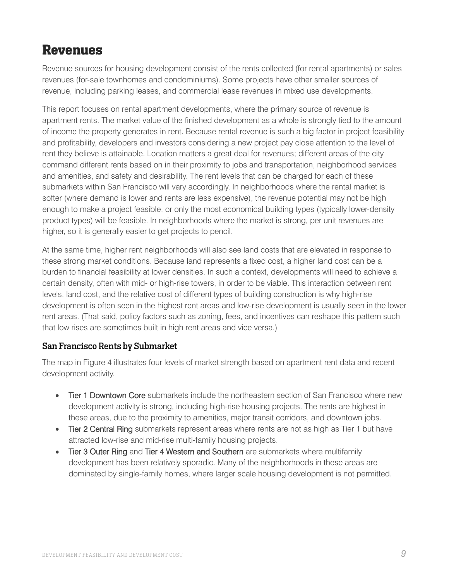### <span id="page-8-0"></span>**Revenues**

Revenue sources for housing development consist of the rents collected (for rental apartments) or sales revenues (for-sale townhomes and condominiums). Some projects have other smaller sources of revenue, including parking leases, and commercial lease revenues in mixed use developments.

This report focuses on rental apartment developments, where the primary source of revenue is apartment rents. The market value of the finished development as a whole is strongly tied to the amount of income the property generates in rent. Because rental revenue is such a big factor in project feasibility and profitability, developers and investors considering a new project pay close attention to the level of rent they believe is attainable. Location matters a great deal for revenues; different areas of the city command different rents based on in their proximity to jobs and transportation, neighborhood services and amenities, and safety and desirability. The rent levels that can be charged for each of these submarkets within San Francisco will vary accordingly. In neighborhoods where the rental market is softer (where demand is lower and rents are less expensive), the revenue potential may not be high enough to make a project feasible, or only the most economical building types (typically lower-density product types) will be feasible. In neighborhoods where the market is strong, per unit revenues are higher, so it is generally easier to get projects to pencil.

At the same time, higher rent neighborhoods will also see land costs that are elevated in response to these strong market conditions. Because land represents a fixed cost, a higher land cost can be a burden to financial feasibility at lower densities. In such a context, developments will need to achieve a certain density, often with mid- or high-rise towers, in order to be viable. This interaction between rent levels, land cost, and the relative cost of different types of building construction is why high-rise development is often seen in the highest rent areas and low-rise development is usually seen in the lower rent areas. (That said, policy factors such as zoning, fees, and incentives can reshape this pattern such that low rises are sometimes built in high rent areas and vice versa.)

### <span id="page-8-1"></span>San Francisco Rents by Submarket

The map in Figure 4 illustrates four levels of market strength based on apartment rent data and recent development activity.

- Tier 1 Downtown Core submarkets include the northeastern section of San Francisco where new development activity is strong, including high-rise housing projects. The rents are highest in these areas, due to the proximity to amenities, major transit corridors, and downtown jobs.
- Tier 2 Central Ring submarkets represent areas where rents are not as high as Tier 1 but have attracted low-rise and mid-rise multi-family housing projects.
- Tier 3 Outer Ring and Tier 4 Western and Southern are submarkets where multifamily development has been relatively sporadic. Many of the neighborhoods in these areas are dominated by single-family homes, where larger scale housing development is not permitted.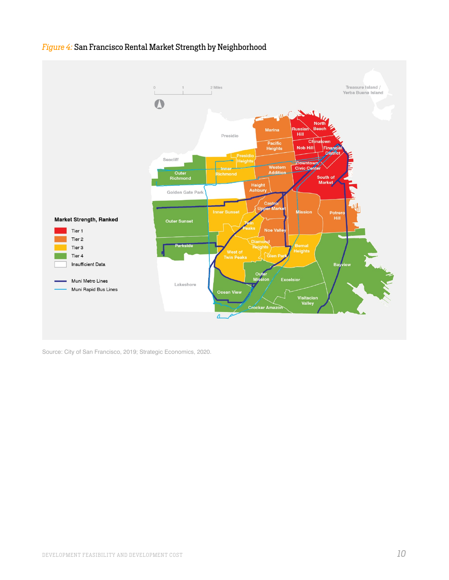

### *Figure 4:* San Francisco Rental Market Strength by Neighborhood

Source: City of San Francisco, 2019; Strategic Economics, 2020.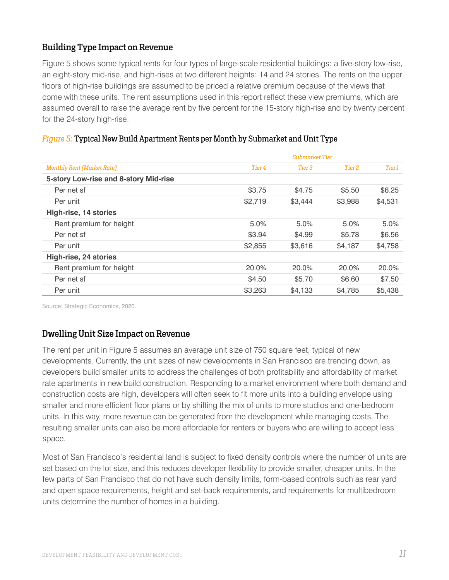### <span id="page-10-0"></span>Building Type Impact on Revenue

Figure 5 shows some typical rents for four types of large-scale residential buildings: a five-story low-rise, an eight-story mid-rise, and high-rises at two different heights: 14 and 24 stories. The rents on the upper floors of high-rise buildings are assumed to be priced a relative premium because of the views that come with these units. The rent assumptions used in this report reflect these view premiums, which are assumed overall to raise the average rent by five percent for the 15-story high-rise and by twenty percent for the 24-story high-rise.

|                                       | <b>Submarket Tier</b> |         |         |         |  |
|---------------------------------------|-----------------------|---------|---------|---------|--|
| <b>Monthly Rent (Market Rate)</b>     | Tier 4                | Tier 3  | Tier 2  | Tier 1  |  |
| 5-story Low-rise and 8-story Mid-rise |                       |         |         |         |  |
| Per net sf                            | \$3.75                | \$4.75  | \$5.50  | \$6.25  |  |
| Per unit                              | \$2,719               | \$3,444 | \$3,988 | \$4,531 |  |
| High-rise, 14 stories                 |                       |         |         |         |  |
| Rent premium for height               | 5.0%                  | 5.0%    | $5.0\%$ | 5.0%    |  |
| Per net sf                            | \$3.94                | \$4.99  | \$5.78  | \$6.56  |  |
| Per unit                              | \$2,855               | \$3,616 | \$4.187 | \$4,758 |  |
| High-rise, 24 stories                 |                       |         |         |         |  |
| Rent premium for height               | 20.0%                 | 20.0%   | 20.0%   | 20.0%   |  |
| Per net sf                            | \$4.50                | \$5.70  | \$6.60  | \$7.50  |  |
| Per unit                              | \$3,263               | \$4,133 | \$4.785 | \$5,438 |  |

#### *Figure 5:* Typical New Build Apartment Rents per Month by Submarket and Unit Type

Source: Strategic Economics, 2020.

### <span id="page-10-1"></span>Dwelling Unit Size Impact on Revenue

The rent per unit in Figure 5 assumes an average unit size of 750 square feet, typical of new developments. Currently, the unit sizes of new developments in San Francisco are trending down, as developers build smaller units to address the challenges of both profitability and affordability of market rate apartments in new build construction. Responding to a market environment where both demand and construction costs are high, developers will often seek to fit more units into a building envelope using smaller and more efficient floor plans or by shifting the mix of units to more studios and one-bedroom units. In this way, more revenue can be generated from the development while managing costs. The resulting smaller units can also be more affordable for renters or buyers who are willing to accept less space.

Most of San Francisco's residential land is subject to fixed density controls where the number of units are set based on the lot size, and this reduces developer flexibility to provide smaller, cheaper units. In the few parts of San Francisco that do not have such density limits, form-based controls such as rear yard and open space requirements, height and set-back requirements, and requirements for multibedroom units determine the number of homes in a building.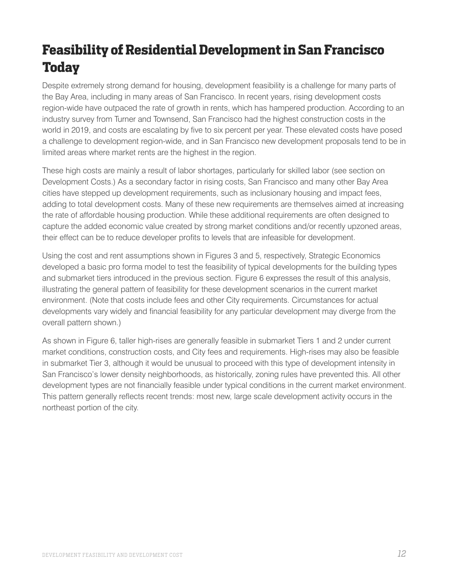# <span id="page-11-0"></span>**Feasibility of Residential Developmentin San Francisco Today**

Despite extremely strong demand for housing, development feasibility is a challenge for many parts of the Bay Area, including in many areas of San Francisco. In recent years, rising development costs region-wide have outpaced the rate of growth in rents, which has hampered production. According to an industry survey from Turner and Townsend, San Francisco had the highest construction costs in the world in 2019, and costs are escalating by five to six percent per year. These elevated costs have posed a challenge to development region-wide, and in San Francisco new development proposals tend to be in limited areas where market rents are the highest in the region.

These high costs are mainly a result of labor shortages, particularly for skilled labor (see section on Development Costs.) As a secondary factor in rising costs, San Francisco and many other Bay Area cities have stepped up development requirements, such as inclusionary housing and impact fees, adding to total development costs. Many of these new requirements are themselves aimed at increasing the rate of affordable housing production. While these additional requirements are often designed to capture the added economic value created by strong market conditions and/or recently upzoned areas, their effect can be to reduce developer profits to levels that are infeasible for development.

Using the cost and rent assumptions shown in Figures 3 and 5, respectively, Strategic Economics developed a basic pro forma model to test the feasibility of typical developments for the building types and submarket tiers introduced in the previous section. Figure 6 expresses the result of this analysis, illustrating the general pattern of feasibility for these development scenarios in the current market environment. (Note that costs include fees and other City requirements. Circumstances for actual developments vary widely and financial feasibility for any particular development may diverge from the overall pattern shown.)

As shown in Figure 6, taller high-rises are generally feasible in submarket Tiers 1 and 2 under current market conditions, construction costs, and City fees and requirements. High-rises may also be feasible in submarket Tier 3, although it would be unusual to proceed with this type of development intensity in San Francisco's lower density neighborhoods, as historically, zoning rules have prevented this. All other development types are not financially feasible under typical conditions in the current market environment. This pattern generally reflects recent trends: most new, large scale development activity occurs in the northeast portion of the city.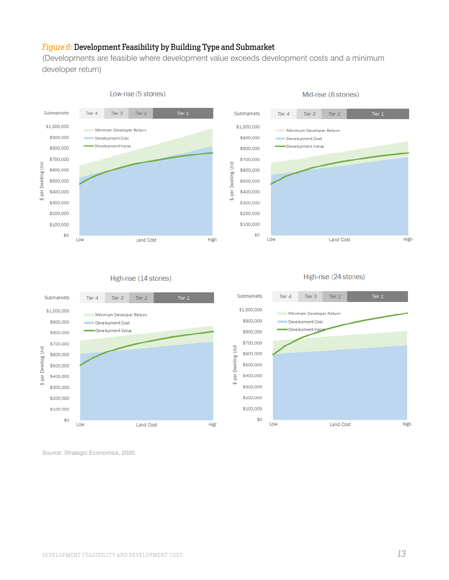#### *Figure 6:* Development Feasibility by Building Type and Submarket

(Developments are feasible where development value exceeds development costs and a minimum developer return)

Submarkets

Tier 4

Tier 3





Mid-rise (8 stories)

#### High-rise (24 stories)

Tier<sub>2</sub>

Tier  $1$ 





Source: Strategic Economics, 2020.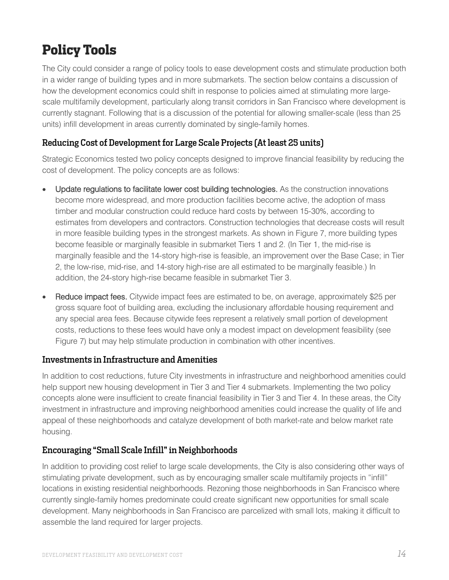# <span id="page-13-0"></span>**Policy Tools**

The City could consider a range of policy tools to ease development costs and stimulate production both in a wider range of building types and in more submarkets. The section below contains a discussion of how the development economics could shift in response to policies aimed at stimulating more largescale multifamily development, particularly along transit corridors in San Francisco where development is currently stagnant. Following that is a discussion of the potential for allowing smaller-scale (less than 25 units) infill development in areas currently dominated by single-family homes.

### <span id="page-13-1"></span>Reducing Cost of Development for Large Scale Projects (At least 25 units)

Strategic Economics tested two policy concepts designed to improve financial feasibility by reducing the cost of development. The policy concepts are as follows:

- Update regulations to facilitate lower cost building technologies. As the construction innovations become more widespread, and more production facilities become active, the adoption of mass timber and modular construction could reduce hard costs by between 15-30%, according to estimates from developers and contractors. Construction technologies that decrease costs will result in more feasible building types in the strongest markets. As shown in Figure 7, more building types become feasible or marginally feasible in submarket Tiers 1 and 2. (In Tier 1, the mid-rise is marginally feasible and the 14-story high-rise is feasible, an improvement over the Base Case; in Tier 2, the low-rise, mid-rise, and 14-story high-rise are all estimated to be marginally feasible.) In addition, the 24-story high-rise became feasible in submarket Tier 3.
- **Reduce impact fees.** Citywide impact fees are estimated to be, on average, approximately \$25 per gross square foot of building area, excluding the inclusionary affordable housing requirement and any special area fees. Because citywide fees represent a relatively small portion of development costs, reductions to these fees would have only a modest impact on development feasibility (see Figure 7) but may help stimulate production in combination with other incentives.

### <span id="page-13-2"></span>Investments in Infrastructure and Amenities

In addition to cost reductions, future City investments in infrastructure and neighborhood amenities could help support new housing development in Tier 3 and Tier 4 submarkets. Implementing the two policy concepts alone were insufficient to create financial feasibility in Tier 3 and Tier 4. In these areas, the City investment in infrastructure and improving neighborhood amenities could increase the quality of life and appeal of these neighborhoods and catalyze development of both market-rate and below market rate housing.

### <span id="page-13-3"></span>Encouraging "Small Scale Infill"in Neighborhoods

In addition to providing cost relief to large scale developments, the City is also considering other ways of stimulating private development, such as by encouraging smaller scale multifamily projects in "infill" locations in existing residential neighborhoods. Rezoning those neighborhoods in San Francisco where currently single-family homes predominate could create significant new opportunities for small scale development. Many neighborhoods in San Francisco are parcelized with small lots, making it difficult to assemble the land required for larger projects.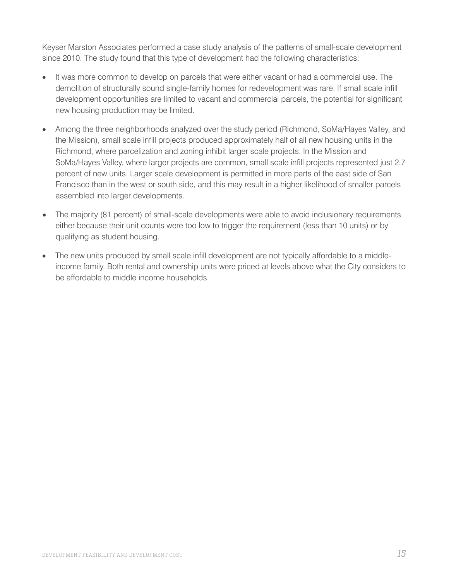Keyser Marston Associates performed a case study analysis of the patterns of small-scale development since 2010. The study found that this type of development had the following characteristics:

- It was more common to develop on parcels that were either vacant or had a commercial use. The demolition of structurally sound single-family homes for redevelopment was rare. If small scale infill development opportunities are limited to vacant and commercial parcels, the potential for significant new housing production may be limited.
- Among the three neighborhoods analyzed over the study period (Richmond, SoMa/Hayes Valley, and the Mission), small scale infill projects produced approximately half of all new housing units in the Richmond, where parcelization and zoning inhibit larger scale projects. In the Mission and SoMa/Hayes Valley, where larger projects are common, small scale infill projects represented just 2.7 percent of new units. Larger scale development is permitted in more parts of the east side of San Francisco than in the west or south side, and this may result in a higher likelihood of smaller parcels assembled into larger developments.
- The majority (81 percent) of small-scale developments were able to avoid inclusionary requirements either because their unit counts were too low to trigger the requirement (less than 10 units) or by qualifying as student housing.
- The new units produced by small scale infill development are not typically affordable to a middleincome family. Both rental and ownership units were priced at levels above what the City considers to be affordable to middle income households.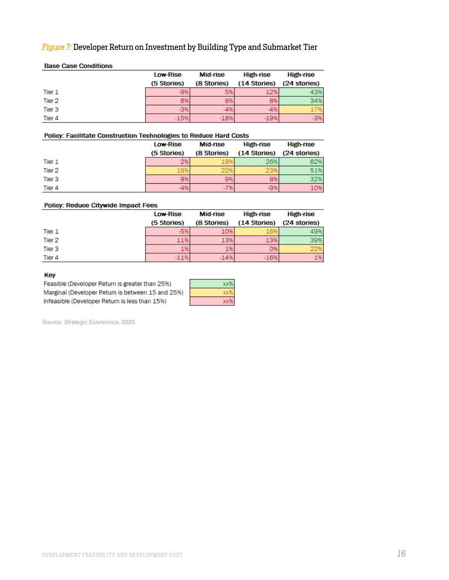### *Figure 7:* Developer Return on Investment by Building Type and Submarket Tier

|                   | Low-Rise    | Mid-rise    | High-rise    | High-rise    |
|-------------------|-------------|-------------|--------------|--------------|
|                   | (5 Stories) | (8 Stories) | (14 Stories) | (24 stories) |
| Tier 1            | $-9%$       | 5%          | 12%          | 43%          |
| Tier 2            | 6%          | 8%          |              | 34%          |
| Tier <sub>3</sub> | $-3%$       | $-4%$       |              | 17%          |
| Tier 4            | $-15%$      | $-18%$      |              | $-3%$        |

#### **Base Case Conditions**

#### Policy: Facilitate Construction Technologies to Reduce Hard Costs

|        | <b>Low-Rise</b> | Mid-rise    | High-rise                 | High-rise |
|--------|-----------------|-------------|---------------------------|-----------|
|        | (5 Stories)     | (8 Stories) | (14 Stories) (24 stories) |           |
| Tier 1 | 2%              |             | 26%                       |           |
| Tier 2 | 19%             | 22%         | 23%                       | 51%I      |
| Tier 3 | 9%              | 9%          | 8%                        | 32%       |
| Tier 4 | 4%              | -7%         |                           | 10%       |

#### Policy: Reduce Citywide Impact Fees

|        | <b>Low-Rise</b> | Mid-rise    | High-rise    | High-rise    |
|--------|-----------------|-------------|--------------|--------------|
|        | (5 Stories)     | (8 Stories) | (14 Stories) | (24 stories) |
| Tier 1 | $-5%$           | 10%         | 16%          | 49%          |
| Tier 2 | 11%             | 13%         | 13%          | 39%          |
| Tier 3 | 1%              | 1%          | О%           |              |
| Tier 4 | $-11%$          | $-14%$      | $-16%$       | 1%           |

#### Key

Feasible (Developer Return is greater than 25%) Marginal (Developer Return is between 15 and 25%) Infeasible (Developer Return is less than 15%)

Source: Strategic Economics, 2020.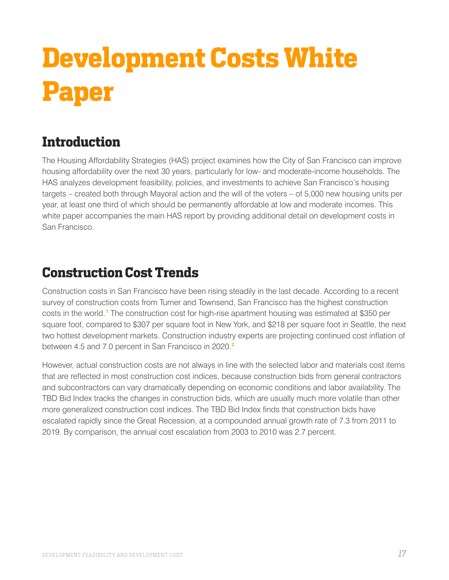# <span id="page-16-0"></span>**Development Costs White Paper**

### <span id="page-16-1"></span>**Introduction**

The Housing Affordability Strategies (HAS) project examines how the City of San Francisco can improve housing affordability over the next 30 years, particularly for low- and moderate-income households. The HAS analyzes development feasibility, policies, and investments to achieve San Francisco's housing targets – created both through Mayoral action and the will of the voters – of 5,000 new housing units per year, at least one third of which should be permanently affordable at low and moderate incomes. This white paper accompanies the main HAS report by providing additional detail on development costs in San Francisco.

### <span id="page-16-2"></span>**Construction Cost Trends**

Construction costs in San Francisco have been rising steadily in the last decade. According to a recent survey of construction costs from Turner and Townsend, San Francisco has the highest construction costs in the world.**[1](#page-20-1)** The construction cost for high-rise apartment housing was estimated at \$350 per square foot, compared to \$307 per square foot in New York, and \$218 per square foot in Seattle, the next two hottest development markets. Construction industry experts are projecting continued cost inflation of between 4.5 and 7.0 percent in San Francisco in 2020.**[2](#page-20-2)**

However, actual construction costs are not always in line with the selected labor and materials cost items that are reflected in most construction cost indices, because construction bids from general contractors and subcontractors can vary dramatically depending on economic conditions and labor availability. The TBD Bid Index tracks the changes in construction bids, which are usually much more volatile than other more generalized construction cost indices. The TBD Bid Index finds that construction bids have escalated rapidly since the Great Recession, at a compounded annual growth rate of 7.3 from 2011 to 2019. By comparison, the annual cost escalation from 2003 to 2010 was 2.7 percent.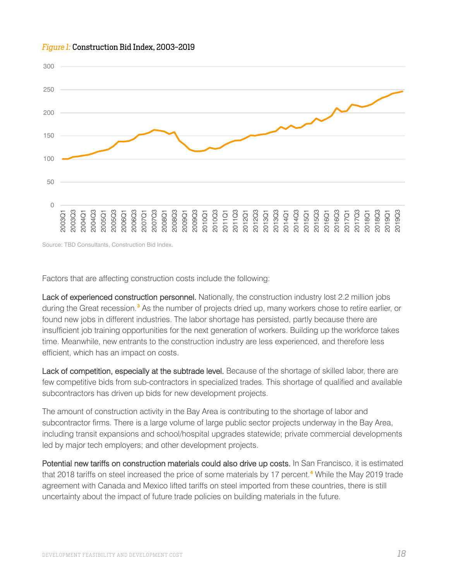

#### *Figure 1:* Construction Bid Index, 2003-2019

Source: TBD Consultants, Construction Bid Index.

Factors that are affecting construction costs include the following:

Lack of experienced construction personnel. Nationally, the construction industry lost 2.2 million jobs during the Great recession.**[3](#page-20-3)** As the number of projects dried up, many workers chose to retire earlier, or found new jobs in different industries. The labor shortage has persisted, partly because there are insufficient job training opportunities for the next generation of workers. Building up the workforce takes time. Meanwhile, new entrants to the construction industry are less experienced, and therefore less efficient, which has an impact on costs.

Lack of competition, especially at the subtrade level. Because of the shortage of skilled labor, there are few competitive bids from sub-contractors in specialized trades. This shortage of qualified and available subcontractors has driven up bids for new development projects.  

The amount of construction activity in the Bay Area is contributing to the shortage of labor and subcontractor firms. There is a large volume of large public sector projects underway in the Bay Area, including transit expansions and school/hospital upgrades statewide; private commercial developments led by major tech employers; and other development projects.

Potential new tariffs on construction materials could also drive up costs. In San Francisco, it is estimated that 2018 tariffs on steel increased the price of some materials by 17 percent.**[4](#page-20-4)** While the May 2019 trade agreement with Canada and Mexico lifted tariffs on steel imported from these countries, there is still uncertainty about the impact of future trade policies on building materials in the future.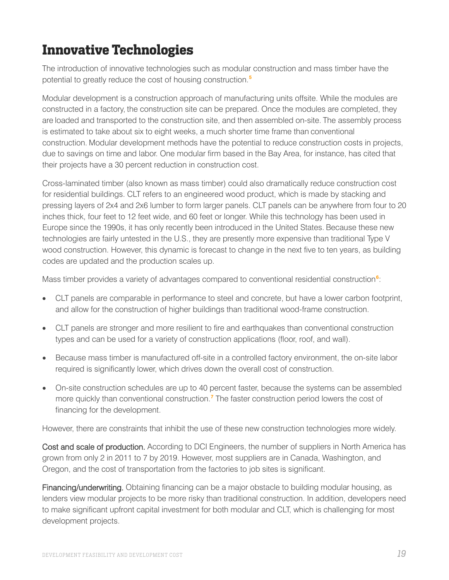## <span id="page-18-0"></span>**Innovative Technologies**

The introduction of innovative technologies such as modular construction and mass timber have the potential to greatly reduce the cost of housing construction.**[5](#page-20-5)**

Modular development is a construction approach of manufacturing units offsite. While the modules are constructed in a factory, the construction site can be prepared. Once the modules are completed, they are loaded and transported to the construction site, and then assembled on-site. The assembly process is estimated to take about six to eight weeks, a much shorter time frame than conventional construction. Modular development methods have the potential to reduce construction costs in projects, due to savings on time and labor. One modular firm based in the Bay Area, for instance, has cited that their projects have a 30 percent reduction in construction cost.

Cross-laminated timber (also known as mass timber) could also dramatically reduce construction cost for residential buildings. CLT refers to an engineered wood product, which is made by stacking and pressing layers of 2x4 and 2x6 lumber to form larger panels. CLT panels can be anywhere from four to 20 inches thick, four feet to 12 feet wide, and 60 feet or longer. While this technology has been used in Europe since the 1990s, it has only recently been introduced in the United States. Because these new technologies are fairly untested in the U.S., they are presently more expensive than traditional Type V wood construction. However, this dynamic is forecast to change in the next five to ten years, as building codes are updated and the production scales up.

Mass timber provides a variety of advantages compared to conventional residential construction<sup>[6](#page-20-6)</sup>:

- CLT panels are comparable in performance to steel and concrete, but have a lower carbon footprint, and allow for the construction of higher buildings than traditional wood-frame construction.
- CLT panels are stronger and more resilient to fire and earthquakes than conventional construction types and can be used for a variety of construction applications (floor, roof, and wall).
- Because mass timber is manufactured off-site in a controlled factory environment, the on-site labor required is significantly lower, which drives down the overall cost of construction.
- On-site construction schedules are up to 40 percent faster, because the systems can be assembled more quickly than conventional construction.**[7](#page-20-7)** The faster construction period lowers the cost of financing for the development.

However, there are constraints that inhibit the use of these new construction technologies more widely.

Cost and scale of production. According to DCI Engineers, the number of suppliers in North America has grown from only 2 in 2011 to 7 by 2019. However, most suppliers are in Canada, Washington, and Oregon, and the cost of transportation from the factories to job sites is significant.

Financing/underwriting. Obtaining financing can be a major obstacle to building modular housing, as lenders view modular projects to be more risky than traditional construction. In addition, developers need to make significant upfront capital investment for both modular and CLT, which is challenging for most development projects.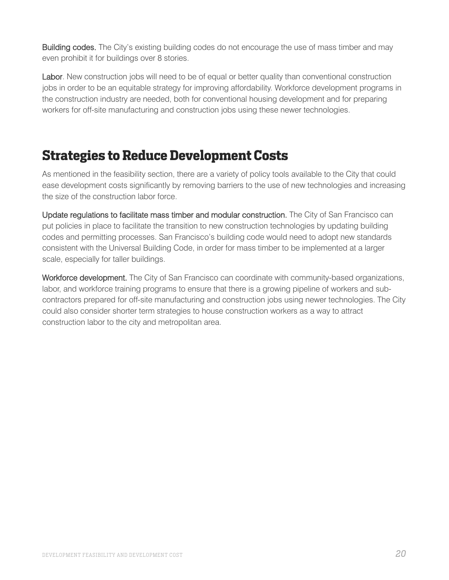Building codes. The City's existing building codes do not encourage the use of mass timber and may even prohibit it for buildings over 8 stories.

Labor. New construction jobs will need to be of equal or better quality than conventional construction jobs in order to be an equitable strategy for improving affordability. Workforce development programs in the construction industry are needed, both for conventional housing development and for preparing workers for off-site manufacturing and construction jobs using these newer technologies.

### <span id="page-19-0"></span>**Strategies to Reduce Development Costs**

As mentioned in the feasibility section, there are a variety of policy tools available to the City that could ease development costs significantly by removing barriers to the use of new technologies and increasing the size of the construction labor force.

Update regulations to facilitate mass timber and modular construction. The City of San Francisco can put policies in place to facilitate the transition to new construction technologies by updating building codes and permitting processes. San Francisco's building code would need to adopt new standards consistent with the Universal Building Code, in order for mass timber to be implemented at a larger scale, especially for taller buildings.

Workforce development. The City of San Francisco can coordinate with community-based organizations, labor, and workforce training programs to ensure that there is a growing pipeline of workers and subcontractors prepared for off-site manufacturing and construction jobs using newer technologies. The City could also consider shorter term strategies to house construction workers as a way to attract construction labor to the city and metropolitan area.